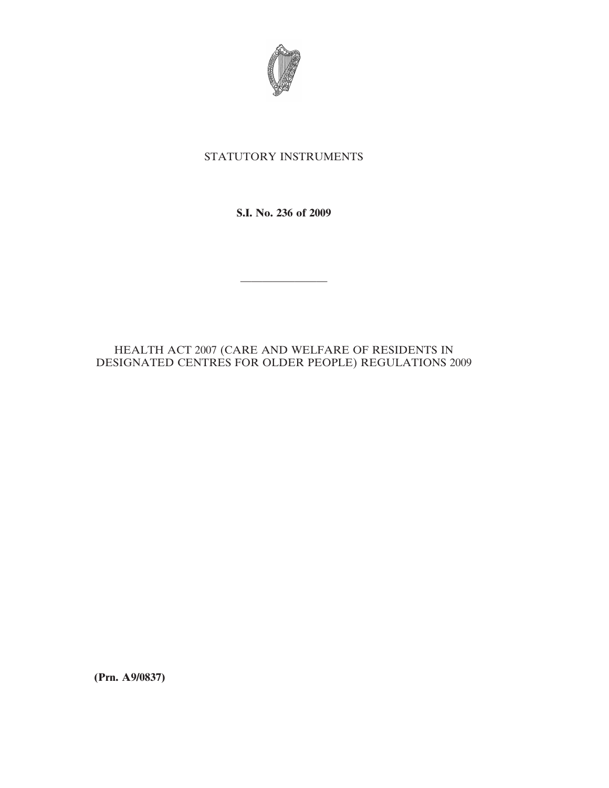

# STATUTORY INSTRUMENTS

**S.I. No. 236 of 2009**

————————

# HEALTH ACT 2007 (CARE AND WELFARE OF RESIDENTS IN DESIGNATED CENTRES FOR OLDER PEOPLE) REGULATIONS 2009

**(Prn. A9/0837)**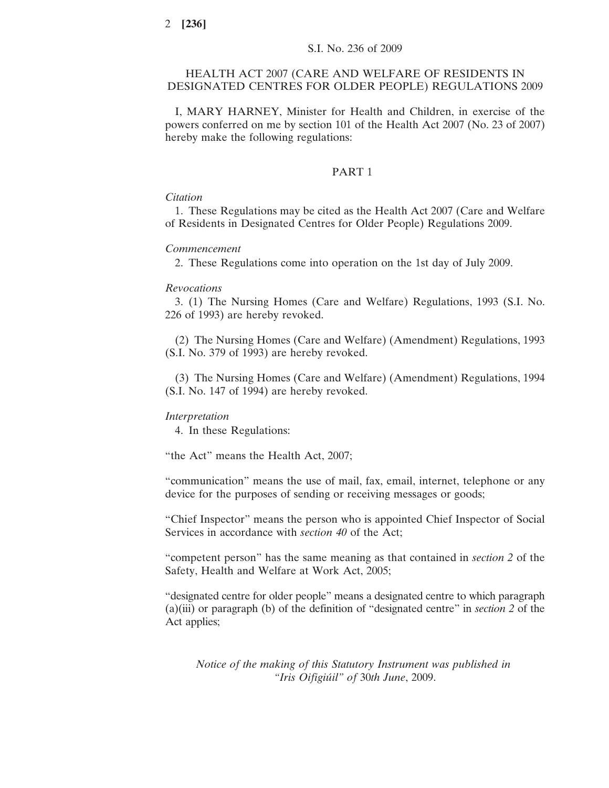## HEALTH ACT 2007 (CARE AND WELFARE OF RESIDENTS IN DESIGNATED CENTRES FOR OLDER PEOPLE) REGULATIONS 2009

I, MARY HARNEY, Minister for Health and Children, in exercise of the powers conferred on me by section 101 of the Health Act 2007 (No. 23 of 2007) hereby make the following regulations:

# PART 1

### *Citation*

1. These Regulations may be cited as the Health Act 2007 (Care and Welfare of Residents in Designated Centres for Older People) Regulations 2009.

#### *Commencement*

2. These Regulations come into operation on the 1st day of July 2009.

#### *Revocations*

3. (1) The Nursing Homes (Care and Welfare) Regulations, 1993 (S.I. No. 226 of 1993) are hereby revoked.

(2) The Nursing Homes (Care and Welfare) (Amendment) Regulations, 1993 (S.I. No. 379 of 1993) are hereby revoked.

(3) The Nursing Homes (Care and Welfare) (Amendment) Regulations, 1994 (S.I. No. 147 of 1994) are hereby revoked.

#### *Interpretation*

4. In these Regulations:

"the Act" means the Health Act, 2007;

"communication" means the use of mail, fax, email, internet, telephone or any device for the purposes of sending or receiving messages or goods;

"Chief Inspector" means the person who is appointed Chief Inspector of Social Services in accordance with *section 40* of the Act;

"competent person" has the same meaning as that contained in *section 2* of the Safety, Health and Welfare at Work Act, 2005;

"designated centre for older people" means a designated centre to which paragraph (a)(iii) or paragraph (b) of the definition of "designated centre" in *section 2* of the Act applies;

*Notice of the making of this Statutory Instrument was published in "Iris Oifigiu´il" of* 30*th June*, 2009.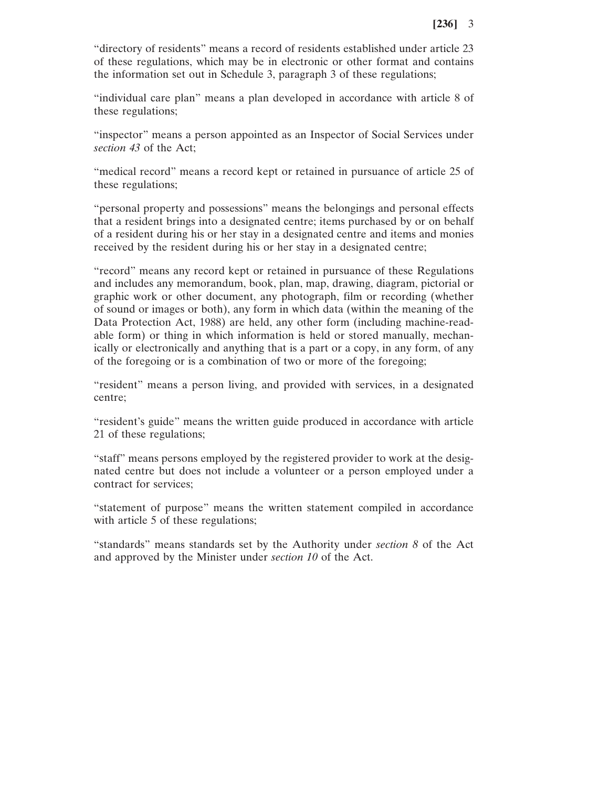"directory of residents" means a record of residents established under article 23 of these regulations, which may be in electronic or other format and contains the information set out in Schedule 3, paragraph 3 of these regulations;

"individual care plan" means a plan developed in accordance with article 8 of these regulations;

"inspector" means a person appointed as an Inspector of Social Services under *section 43* of the Act;

"medical record" means a record kept or retained in pursuance of article 25 of these regulations;

"personal property and possessions" means the belongings and personal effects that a resident brings into a designated centre; items purchased by or on behalf of a resident during his or her stay in a designated centre and items and monies received by the resident during his or her stay in a designated centre;

"record" means any record kept or retained in pursuance of these Regulations and includes any memorandum, book, plan, map, drawing, diagram, pictorial or graphic work or other document, any photograph, film or recording (whether of sound or images or both), any form in which data (within the meaning of the Data Protection Act, 1988) are held, any other form (including machine-readable form) or thing in which information is held or stored manually, mechanically or electronically and anything that is a part or a copy, in any form, of any of the foregoing or is a combination of two or more of the foregoing;

"resident" means a person living, and provided with services, in a designated centre;

"resident's guide" means the written guide produced in accordance with article 21 of these regulations;

"staff" means persons employed by the registered provider to work at the designated centre but does not include a volunteer or a person employed under a contract for services;

"statement of purpose" means the written statement compiled in accordance with article 5 of these regulations;

"standards" means standards set by the Authority under *section 8* of the Act and approved by the Minister under *section 10* of the Act.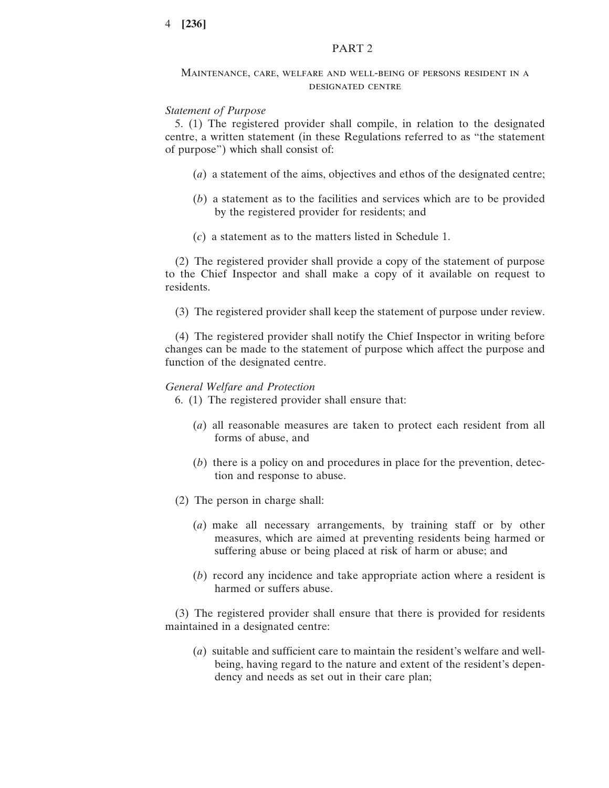### PART 2

#### Maintenance, care, welfare and well-being of persons resident in a designated centre

### *Statement of Purpose*

5. (1) The registered provider shall compile, in relation to the designated centre, a written statement (in these Regulations referred to as "the statement of purpose") which shall consist of:

- (*a*) a statement of the aims, objectives and ethos of the designated centre;
- (*b*) a statement as to the facilities and services which are to be provided by the registered provider for residents; and
- (*c*) a statement as to the matters listed in Schedule 1.

(2) The registered provider shall provide a copy of the statement of purpose to the Chief Inspector and shall make a copy of it available on request to residents.

(3) The registered provider shall keep the statement of purpose under review.

(4) The registered provider shall notify the Chief Inspector in writing before changes can be made to the statement of purpose which affect the purpose and function of the designated centre.

#### *General Welfare and Protection*

6. (1) The registered provider shall ensure that:

- (*a*) all reasonable measures are taken to protect each resident from all forms of abuse, and
- (*b*) there is a policy on and procedures in place for the prevention, detection and response to abuse.
- (2) The person in charge shall:
	- (*a*) make all necessary arrangements, by training staff or by other measures, which are aimed at preventing residents being harmed or suffering abuse or being placed at risk of harm or abuse; and
	- (*b*) record any incidence and take appropriate action where a resident is harmed or suffers abuse.

(3) The registered provider shall ensure that there is provided for residents maintained in a designated centre:

(*a*) suitable and sufficient care to maintain the resident's welfare and wellbeing, having regard to the nature and extent of the resident's dependency and needs as set out in their care plan;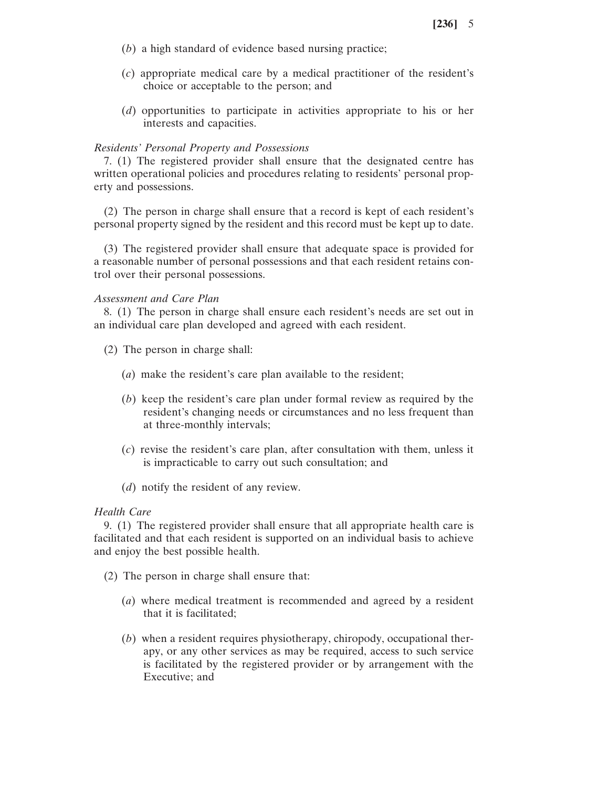- (*b*) a high standard of evidence based nursing practice;
- (*c*) appropriate medical care by a medical practitioner of the resident's choice or acceptable to the person; and
- (*d*) opportunities to participate in activities appropriate to his or her interests and capacities.

## *Residents' Personal Property and Possessions*

7. (1) The registered provider shall ensure that the designated centre has written operational policies and procedures relating to residents' personal property and possessions.

(2) The person in charge shall ensure that a record is kept of each resident's personal property signed by the resident and this record must be kept up to date.

(3) The registered provider shall ensure that adequate space is provided for a reasonable number of personal possessions and that each resident retains control over their personal possessions.

### *Assessment and Care Plan*

8. (1) The person in charge shall ensure each resident's needs are set out in an individual care plan developed and agreed with each resident.

- (2) The person in charge shall:
	- (*a*) make the resident's care plan available to the resident;
	- (*b*) keep the resident's care plan under formal review as required by the resident's changing needs or circumstances and no less frequent than at three-monthly intervals;
	- (*c*) revise the resident's care plan, after consultation with them, unless it is impracticable to carry out such consultation; and
	- (*d*) notify the resident of any review.

### *Health Care*

9. (1) The registered provider shall ensure that all appropriate health care is facilitated and that each resident is supported on an individual basis to achieve and enjoy the best possible health.

- (2) The person in charge shall ensure that:
	- (*a*) where medical treatment is recommended and agreed by a resident that it is facilitated;
	- (*b*) when a resident requires physiotherapy, chiropody, occupational therapy, or any other services as may be required, access to such service is facilitated by the registered provider or by arrangement with the Executive; and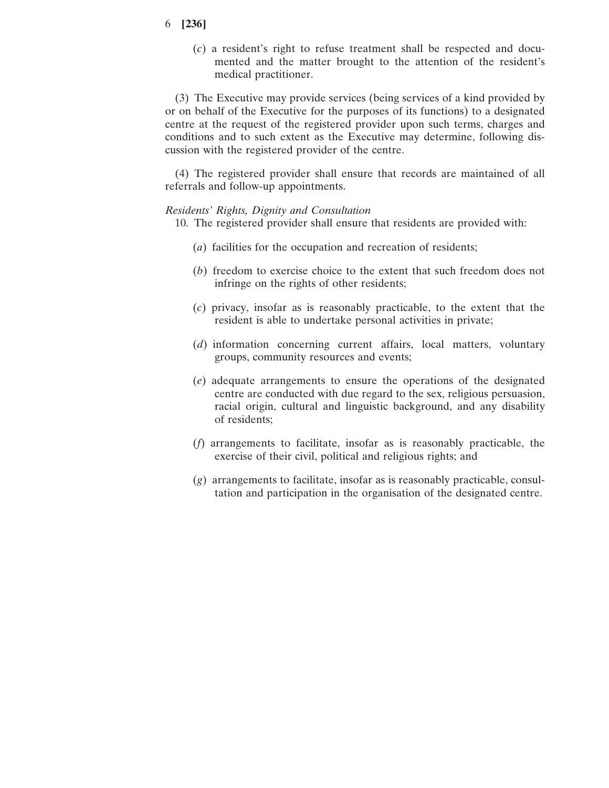(*c*) a resident's right to refuse treatment shall be respected and documented and the matter brought to the attention of the resident's medical practitioner.

(3) The Executive may provide services (being services of a kind provided by or on behalf of the Executive for the purposes of its functions) to a designated centre at the request of the registered provider upon such terms, charges and conditions and to such extent as the Executive may determine, following discussion with the registered provider of the centre.

(4) The registered provider shall ensure that records are maintained of all referrals and follow-up appointments.

### *Residents' Rights, Dignity and Consultation*

- 10. The registered provider shall ensure that residents are provided with:
	- (*a*) facilities for the occupation and recreation of residents;
	- (*b*) freedom to exercise choice to the extent that such freedom does not infringe on the rights of other residents;
	- (*c*) privacy, insofar as is reasonably practicable, to the extent that the resident is able to undertake personal activities in private;
	- (*d*) information concerning current affairs, local matters, voluntary groups, community resources and events;
	- (*e*) adequate arrangements to ensure the operations of the designated centre are conducted with due regard to the sex, religious persuasion, racial origin, cultural and linguistic background, and any disability of residents;
	- (*f*) arrangements to facilitate, insofar as is reasonably practicable, the exercise of their civil, political and religious rights; and
	- (*g*) arrangements to facilitate, insofar as is reasonably practicable, consultation and participation in the organisation of the designated centre.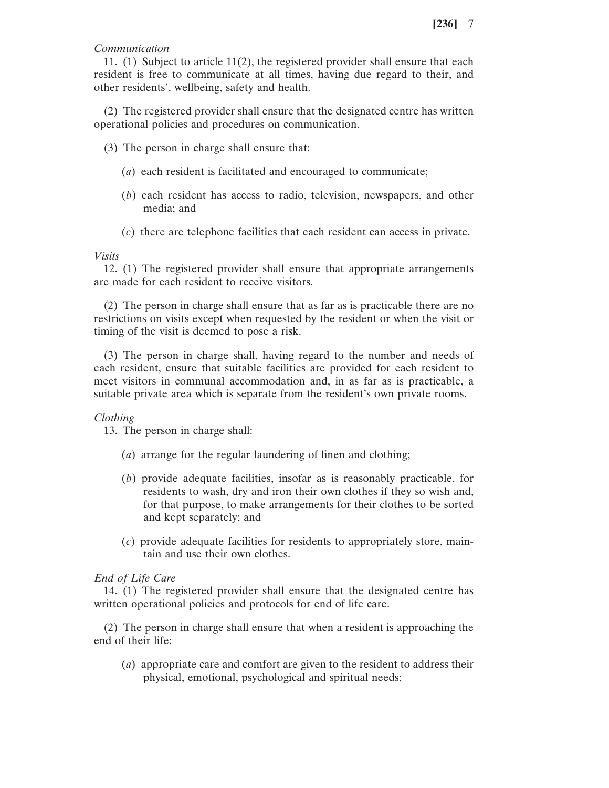# *Communication*

11. (1) Subject to article 11(2), the registered provider shall ensure that each resident is free to communicate at all times, having due regard to their, and other residents', wellbeing, safety and health.

(2) The registered provider shall ensure that the designated centre has written operational policies and procedures on communication.

- (3) The person in charge shall ensure that:
	- (*a*) each resident is facilitated and encouraged to communicate;
	- (*b*) each resident has access to radio, television, newspapers, and other media; and
	- (*c*) there are telephone facilities that each resident can access in private.

### *Visits*

12. (1) The registered provider shall ensure that appropriate arrangements are made for each resident to receive visitors.

(2) The person in charge shall ensure that as far as is practicable there are no restrictions on visits except when requested by the resident or when the visit or timing of the visit is deemed to pose a risk.

(3) The person in charge shall, having regard to the number and needs of each resident, ensure that suitable facilities are provided for each resident to meet visitors in communal accommodation and, in as far as is practicable, a suitable private area which is separate from the resident's own private rooms.

### *Clothing*

13. The person in charge shall:

- (*a*) arrange for the regular laundering of linen and clothing;
- (*b*) provide adequate facilities, insofar as is reasonably practicable, for residents to wash, dry and iron their own clothes if they so wish and, for that purpose, to make arrangements for their clothes to be sorted and kept separately; and
- (*c*) provide adequate facilities for residents to appropriately store, maintain and use their own clothes.

### *End of Life Care*

14. (1) The registered provider shall ensure that the designated centre has written operational policies and protocols for end of life care.

(2) The person in charge shall ensure that when a resident is approaching the end of their life:

(*a*) appropriate care and comfort are given to the resident to address their physical, emotional, psychological and spiritual needs;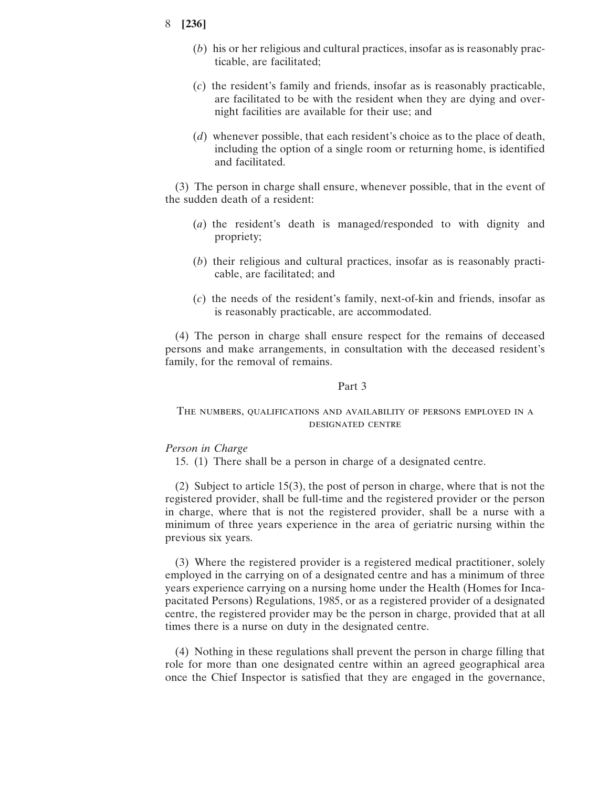- (*b*) his or her religious and cultural practices, insofar as is reasonably practicable, are facilitated;
- (*c*) the resident's family and friends, insofar as is reasonably practicable, are facilitated to be with the resident when they are dying and overnight facilities are available for their use; and
- (*d*) whenever possible, that each resident's choice as to the place of death, including the option of a single room or returning home, is identified and facilitated.

(3) The person in charge shall ensure, whenever possible, that in the event of the sudden death of a resident:

- (*a*) the resident's death is managed/responded to with dignity and propriety;
- (*b*) their religious and cultural practices, insofar as is reasonably practicable, are facilitated; and
- (*c*) the needs of the resident's family, next-of-kin and friends, insofar as is reasonably practicable, are accommodated.

(4) The person in charge shall ensure respect for the remains of deceased persons and make arrangements, in consultation with the deceased resident's family, for the removal of remains.

### Part 3

# The numbers, qualifications and availability of persons employed in a designated centre

### *Person in Charge*

15. (1) There shall be a person in charge of a designated centre.

(2) Subject to article 15(3), the post of person in charge, where that is not the registered provider, shall be full-time and the registered provider or the person in charge, where that is not the registered provider, shall be a nurse with a minimum of three years experience in the area of geriatric nursing within the previous six years.

(3) Where the registered provider is a registered medical practitioner, solely employed in the carrying on of a designated centre and has a minimum of three years experience carrying on a nursing home under the Health (Homes for Incapacitated Persons) Regulations, 1985, or as a registered provider of a designated centre, the registered provider may be the person in charge, provided that at all times there is a nurse on duty in the designated centre.

(4) Nothing in these regulations shall prevent the person in charge filling that role for more than one designated centre within an agreed geographical area once the Chief Inspector is satisfied that they are engaged in the governance,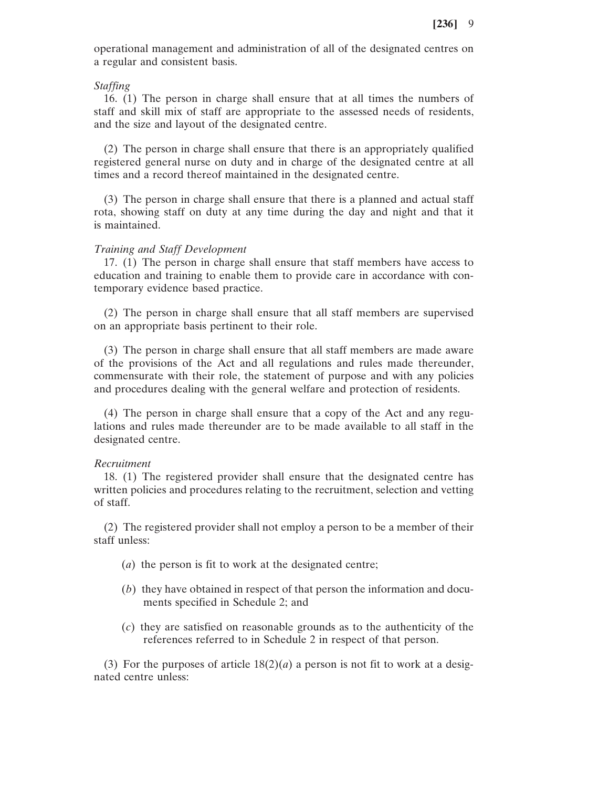operational management and administration of all of the designated centres on a regular and consistent basis.

#### *Staffing*

16. (1) The person in charge shall ensure that at all times the numbers of staff and skill mix of staff are appropriate to the assessed needs of residents, and the size and layout of the designated centre.

(2) The person in charge shall ensure that there is an appropriately qualified registered general nurse on duty and in charge of the designated centre at all times and a record thereof maintained in the designated centre.

(3) The person in charge shall ensure that there is a planned and actual staff rota, showing staff on duty at any time during the day and night and that it is maintained.

### *Training and Staff Development*

17. (1) The person in charge shall ensure that staff members have access to education and training to enable them to provide care in accordance with contemporary evidence based practice.

(2) The person in charge shall ensure that all staff members are supervised on an appropriate basis pertinent to their role.

(3) The person in charge shall ensure that all staff members are made aware of the provisions of the Act and all regulations and rules made thereunder, commensurate with their role, the statement of purpose and with any policies and procedures dealing with the general welfare and protection of residents.

(4) The person in charge shall ensure that a copy of the Act and any regulations and rules made thereunder are to be made available to all staff in the designated centre.

#### *Recruitment*

18. (1) The registered provider shall ensure that the designated centre has written policies and procedures relating to the recruitment, selection and vetting of staff.

(2) The registered provider shall not employ a person to be a member of their staff unless:

- (*a*) the person is fit to work at the designated centre;
- (*b*) they have obtained in respect of that person the information and documents specified in Schedule 2; and
- (*c*) they are satisfied on reasonable grounds as to the authenticity of the references referred to in Schedule 2 in respect of that person.

(3) For the purposes of article  $18(2)(a)$  a person is not fit to work at a designated centre unless: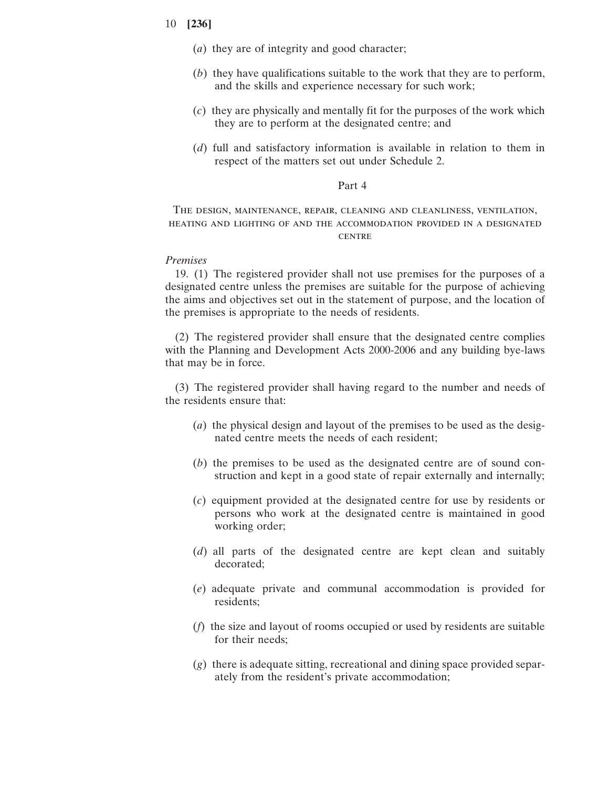- (*a*) they are of integrity and good character;
- (*b*) they have qualifications suitable to the work that they are to perform, and the skills and experience necessary for such work;
- (*c*) they are physically and mentally fit for the purposes of the work which they are to perform at the designated centre; and
- (*d*) full and satisfactory information is available in relation to them in respect of the matters set out under Schedule 2.

### Part 4

The design, maintenance, repair, cleaning and cleanliness, ventilation, heating and lighting of and the accommodation provided in a designated **CENTRE** 

### *Premises*

19. (1) The registered provider shall not use premises for the purposes of a designated centre unless the premises are suitable for the purpose of achieving the aims and objectives set out in the statement of purpose, and the location of the premises is appropriate to the needs of residents.

(2) The registered provider shall ensure that the designated centre complies with the Planning and Development Acts 2000-2006 and any building bye-laws that may be in force.

(3) The registered provider shall having regard to the number and needs of the residents ensure that:

- (*a*) the physical design and layout of the premises to be used as the designated centre meets the needs of each resident;
- (*b*) the premises to be used as the designated centre are of sound construction and kept in a good state of repair externally and internally;
- (*c*) equipment provided at the designated centre for use by residents or persons who work at the designated centre is maintained in good working order;
- (*d*) all parts of the designated centre are kept clean and suitably decorated;
- (*e*) adequate private and communal accommodation is provided for residents;
- (*f*) the size and layout of rooms occupied or used by residents are suitable for their needs;
- (*g*) there is adequate sitting, recreational and dining space provided separately from the resident's private accommodation;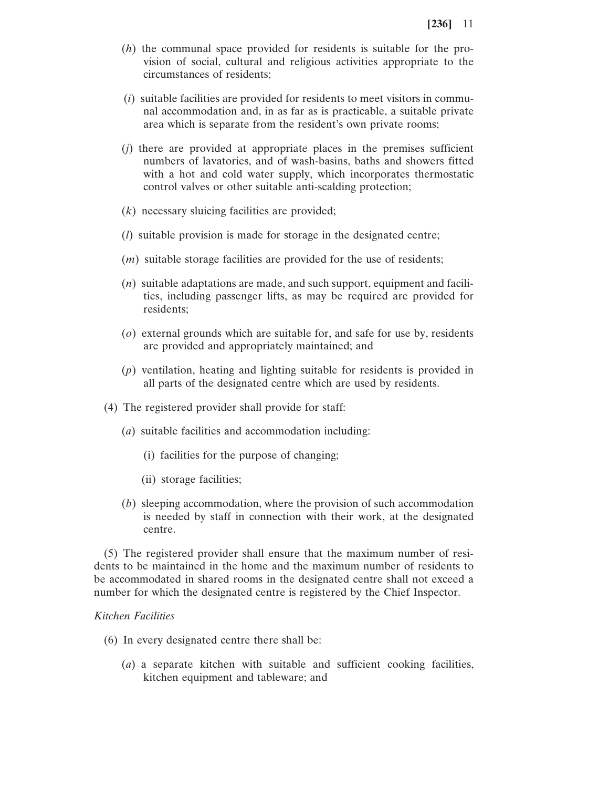- (*h*) the communal space provided for residents is suitable for the provision of social, cultural and religious activities appropriate to the circumstances of residents;
- (*i*) suitable facilities are provided for residents to meet visitors in communal accommodation and, in as far as is practicable, a suitable private area which is separate from the resident's own private rooms;
- (*j*) there are provided at appropriate places in the premises sufficient numbers of lavatories, and of wash-basins, baths and showers fitted with a hot and cold water supply, which incorporates thermostatic control valves or other suitable anti-scalding protection;
- (*k*) necessary sluicing facilities are provided;
- (*l*) suitable provision is made for storage in the designated centre;
- (*m*) suitable storage facilities are provided for the use of residents;
- (*n*) suitable adaptations are made, and such support, equipment and facilities, including passenger lifts, as may be required are provided for residents;
- (*o*) external grounds which are suitable for, and safe for use by, residents are provided and appropriately maintained; and
- (*p*) ventilation, heating and lighting suitable for residents is provided in all parts of the designated centre which are used by residents.
- (4) The registered provider shall provide for staff:
	- (*a*) suitable facilities and accommodation including:
		- (i) facilities for the purpose of changing;
		- (ii) storage facilities;
	- (*b*) sleeping accommodation, where the provision of such accommodation is needed by staff in connection with their work, at the designated centre.

(5) The registered provider shall ensure that the maximum number of residents to be maintained in the home and the maximum number of residents to be accommodated in shared rooms in the designated centre shall not exceed a number for which the designated centre is registered by the Chief Inspector.

# *Kitchen Facilities*

- (6) In every designated centre there shall be:
	- (*a*) a separate kitchen with suitable and sufficient cooking facilities, kitchen equipment and tableware; and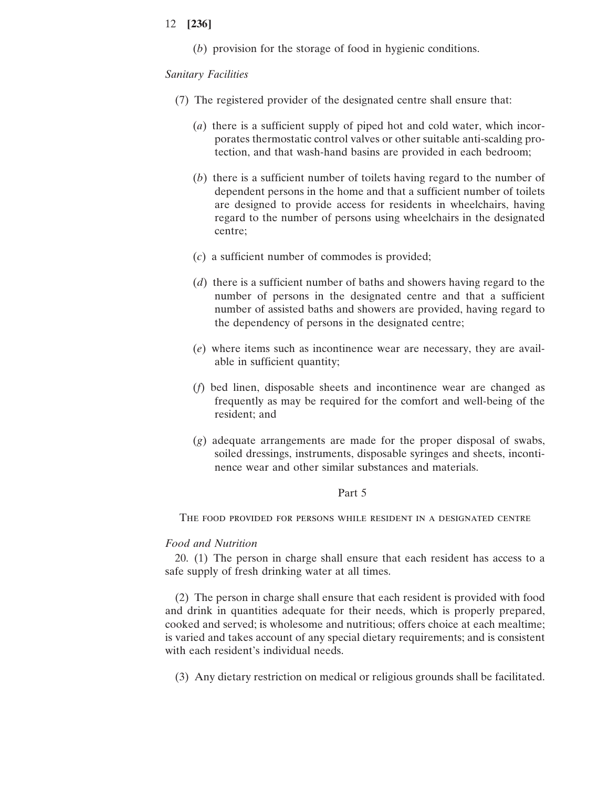(*b*) provision for the storage of food in hygienic conditions.

### *Sanitary Facilities*

- (7) The registered provider of the designated centre shall ensure that:
	- (*a*) there is a sufficient supply of piped hot and cold water, which incorporates thermostatic control valves or other suitable anti-scalding protection, and that wash-hand basins are provided in each bedroom;
	- (*b*) there is a sufficient number of toilets having regard to the number of dependent persons in the home and that a sufficient number of toilets are designed to provide access for residents in wheelchairs, having regard to the number of persons using wheelchairs in the designated centre;
	- (*c*) a sufficient number of commodes is provided;
	- (*d*) there is a sufficient number of baths and showers having regard to the number of persons in the designated centre and that a sufficient number of assisted baths and showers are provided, having regard to the dependency of persons in the designated centre;
	- (*e*) where items such as incontinence wear are necessary, they are available in sufficient quantity;
	- (*f*) bed linen, disposable sheets and incontinence wear are changed as frequently as may be required for the comfort and well-being of the resident; and
	- (*g*) adequate arrangements are made for the proper disposal of swabs, soiled dressings, instruments, disposable syringes and sheets, incontinence wear and other similar substances and materials.

### Part 5

The food provided for persons while resident in a designated centre

# *Food and Nutrition*

20. (1) The person in charge shall ensure that each resident has access to a safe supply of fresh drinking water at all times.

(2) The person in charge shall ensure that each resident is provided with food and drink in quantities adequate for their needs, which is properly prepared, cooked and served; is wholesome and nutritious; offers choice at each mealtime; is varied and takes account of any special dietary requirements; and is consistent with each resident's individual needs.

(3) Any dietary restriction on medical or religious grounds shall be facilitated.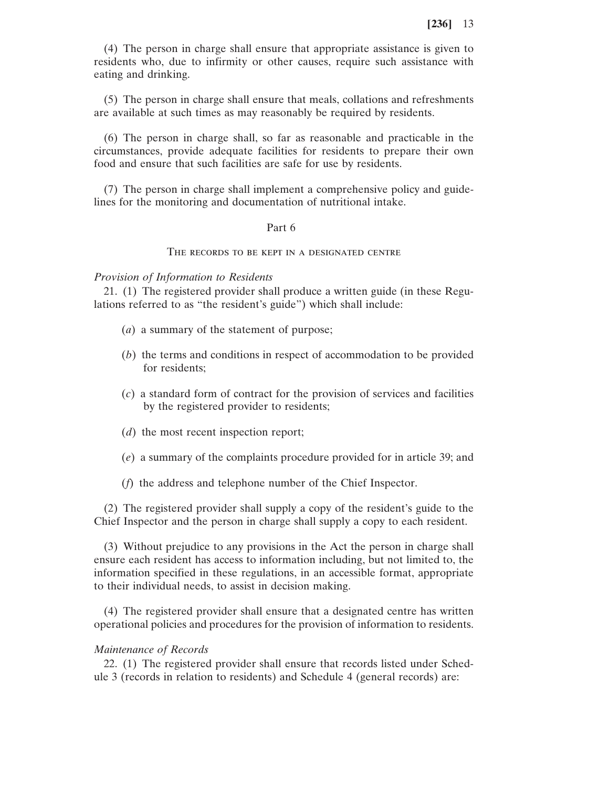(4) The person in charge shall ensure that appropriate assistance is given to residents who, due to infirmity or other causes, require such assistance with eating and drinking.

(5) The person in charge shall ensure that meals, collations and refreshments are available at such times as may reasonably be required by residents.

(6) The person in charge shall, so far as reasonable and practicable in the circumstances, provide adequate facilities for residents to prepare their own food and ensure that such facilities are safe for use by residents.

(7) The person in charge shall implement a comprehensive policy and guidelines for the monitoring and documentation of nutritional intake.

### Part 6

### The records to be kept in a designated centre

*Provision of Information to Residents*

21. (1) The registered provider shall produce a written guide (in these Regulations referred to as "the resident's guide") which shall include:

- (*a*) a summary of the statement of purpose;
- (*b*) the terms and conditions in respect of accommodation to be provided for residents;
- (*c*) a standard form of contract for the provision of services and facilities by the registered provider to residents;
- (*d*) the most recent inspection report;
- (*e*) a summary of the complaints procedure provided for in article 39; and
- (*f*) the address and telephone number of the Chief Inspector.

(2) The registered provider shall supply a copy of the resident's guide to the Chief Inspector and the person in charge shall supply a copy to each resident.

(3) Without prejudice to any provisions in the Act the person in charge shall ensure each resident has access to information including, but not limited to, the information specified in these regulations, in an accessible format, appropriate to their individual needs, to assist in decision making.

(4) The registered provider shall ensure that a designated centre has written operational policies and procedures for the provision of information to residents.

#### *Maintenance of Records*

22. (1) The registered provider shall ensure that records listed under Schedule 3 (records in relation to residents) and Schedule 4 (general records) are: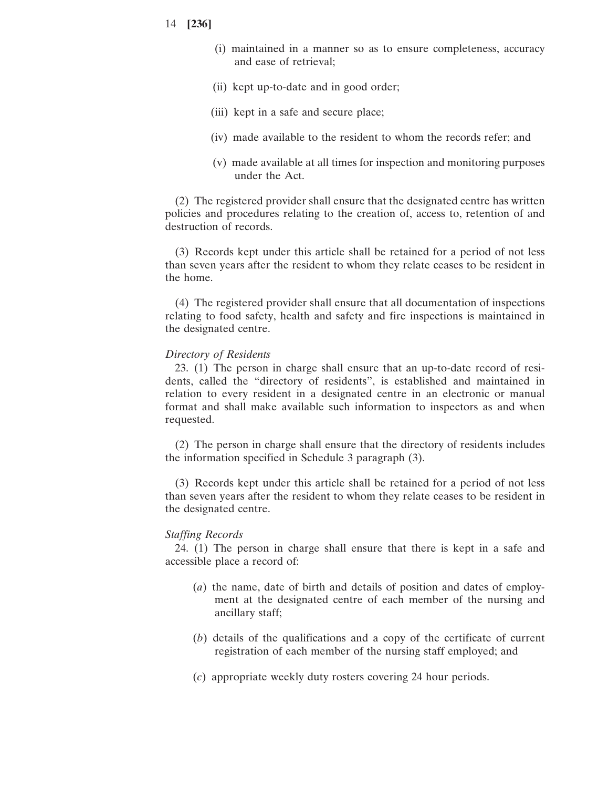- 14 **[236]**
	- (i) maintained in a manner so as to ensure completeness, accuracy and ease of retrieval;
	- (ii) kept up-to-date and in good order;
	- (iii) kept in a safe and secure place;
	- (iv) made available to the resident to whom the records refer; and
	- (v) made available at all times for inspection and monitoring purposes under the Act.

(2) The registered provider shall ensure that the designated centre has written policies and procedures relating to the creation of, access to, retention of and destruction of records.

(3) Records kept under this article shall be retained for a period of not less than seven years after the resident to whom they relate ceases to be resident in the home.

(4) The registered provider shall ensure that all documentation of inspections relating to food safety, health and safety and fire inspections is maintained in the designated centre.

#### *Directory of Residents*

23. (1) The person in charge shall ensure that an up-to-date record of residents, called the "directory of residents", is established and maintained in relation to every resident in a designated centre in an electronic or manual format and shall make available such information to inspectors as and when requested.

(2) The person in charge shall ensure that the directory of residents includes the information specified in Schedule 3 paragraph (3).

(3) Records kept under this article shall be retained for a period of not less than seven years after the resident to whom they relate ceases to be resident in the designated centre.

#### *Staffing Records*

24. (1) The person in charge shall ensure that there is kept in a safe and accessible place a record of:

- (*a*) the name, date of birth and details of position and dates of employment at the designated centre of each member of the nursing and ancillary staff;
- (*b*) details of the qualifications and a copy of the certificate of current registration of each member of the nursing staff employed; and
- (*c*) appropriate weekly duty rosters covering 24 hour periods.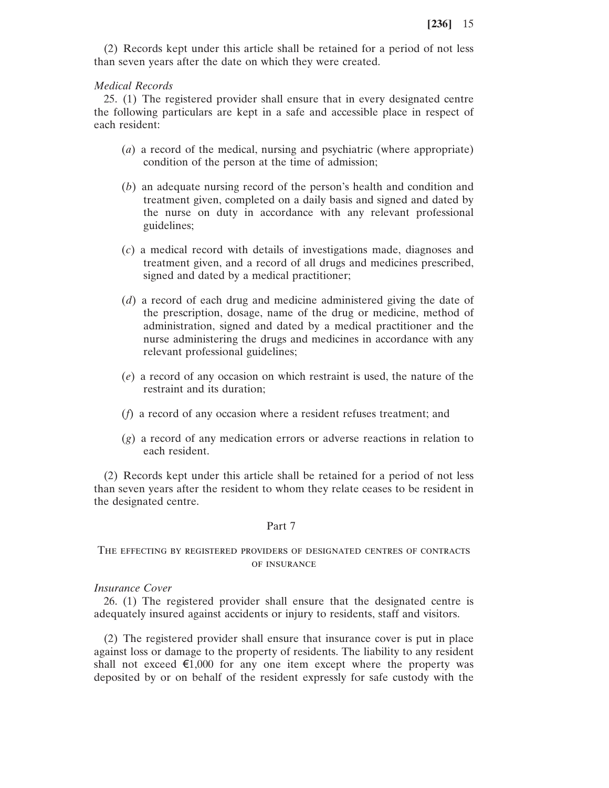(2) Records kept under this article shall be retained for a period of not less than seven years after the date on which they were created.

#### *Medical Records*

25. (1) The registered provider shall ensure that in every designated centre the following particulars are kept in a safe and accessible place in respect of each resident:

- (*a*) a record of the medical, nursing and psychiatric (where appropriate) condition of the person at the time of admission;
- (*b*) an adequate nursing record of the person's health and condition and treatment given, completed on a daily basis and signed and dated by the nurse on duty in accordance with any relevant professional guidelines;
- (*c*) a medical record with details of investigations made, diagnoses and treatment given, and a record of all drugs and medicines prescribed, signed and dated by a medical practitioner;
- (*d*) a record of each drug and medicine administered giving the date of the prescription, dosage, name of the drug or medicine, method of administration, signed and dated by a medical practitioner and the nurse administering the drugs and medicines in accordance with any relevant professional guidelines;
- (*e*) a record of any occasion on which restraint is used, the nature of the restraint and its duration;
- (*f*) a record of any occasion where a resident refuses treatment; and
- (*g*) a record of any medication errors or adverse reactions in relation to each resident.

(2) Records kept under this article shall be retained for a period of not less than seven years after the resident to whom they relate ceases to be resident in the designated centre.

#### Part 7

### The effecting by registered providers of designated centres of contracts of insurance

#### *Insurance Cover*

26. (1) The registered provider shall ensure that the designated centre is adequately insured against accidents or injury to residents, staff and visitors.

(2) The registered provider shall ensure that insurance cover is put in place against loss or damage to the property of residents. The liability to any resident shall not exceed  $\epsilon$ 1,000 for any one item except where the property was deposited by or on behalf of the resident expressly for safe custody with the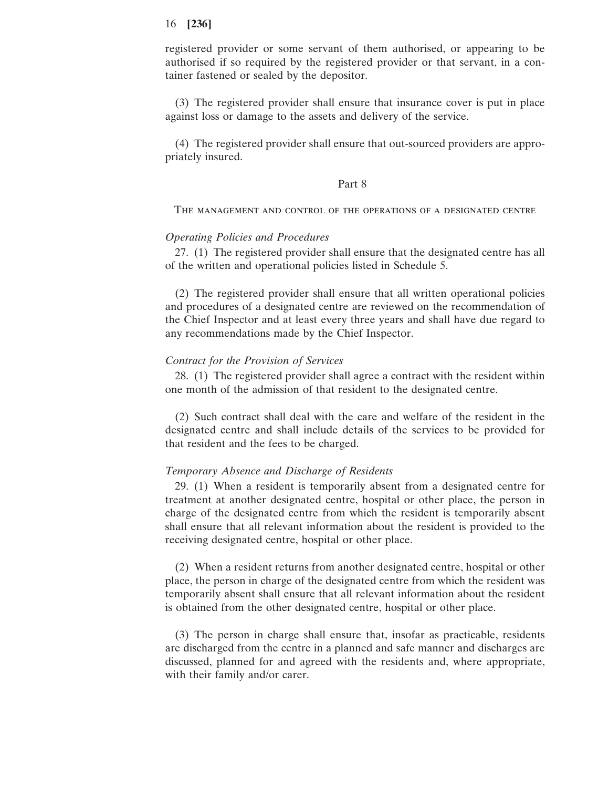registered provider or some servant of them authorised, or appearing to be authorised if so required by the registered provider or that servant, in a container fastened or sealed by the depositor.

(3) The registered provider shall ensure that insurance cover is put in place against loss or damage to the assets and delivery of the service.

(4) The registered provider shall ensure that out-sourced providers are appropriately insured.

### Part 8

The management and control of the operations of a designated centre

#### *Operating Policies and Procedures*

27. (1) The registered provider shall ensure that the designated centre has all of the written and operational policies listed in Schedule 5.

(2) The registered provider shall ensure that all written operational policies and procedures of a designated centre are reviewed on the recommendation of the Chief Inspector and at least every three years and shall have due regard to any recommendations made by the Chief Inspector.

#### *Contract for the Provision of Services*

28. (1) The registered provider shall agree a contract with the resident within one month of the admission of that resident to the designated centre.

(2) Such contract shall deal with the care and welfare of the resident in the designated centre and shall include details of the services to be provided for that resident and the fees to be charged.

### *Temporary Absence and Discharge of Residents*

29. (1) When a resident is temporarily absent from a designated centre for treatment at another designated centre, hospital or other place, the person in charge of the designated centre from which the resident is temporarily absent shall ensure that all relevant information about the resident is provided to the receiving designated centre, hospital or other place.

(2) When a resident returns from another designated centre, hospital or other place, the person in charge of the designated centre from which the resident was temporarily absent shall ensure that all relevant information about the resident is obtained from the other designated centre, hospital or other place.

(3) The person in charge shall ensure that, insofar as practicable, residents are discharged from the centre in a planned and safe manner and discharges are discussed, planned for and agreed with the residents and, where appropriate, with their family and/or carer.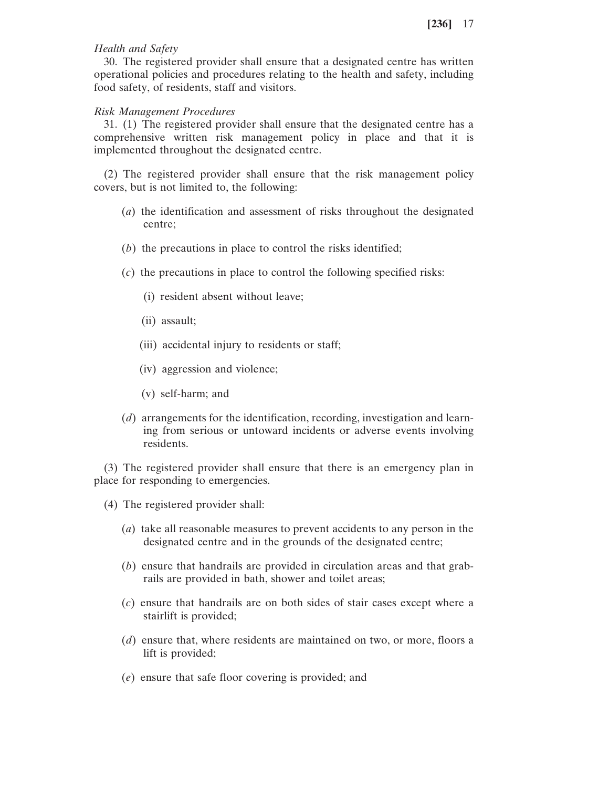# *Health and Safety*

30. The registered provider shall ensure that a designated centre has written operational policies and procedures relating to the health and safety, including food safety, of residents, staff and visitors.

# *Risk Management Procedures*

31. (1) The registered provider shall ensure that the designated centre has a comprehensive written risk management policy in place and that it is implemented throughout the designated centre.

(2) The registered provider shall ensure that the risk management policy covers, but is not limited to, the following:

- (*a*) the identification and assessment of risks throughout the designated centre;
- (*b*) the precautions in place to control the risks identified;
- (*c*) the precautions in place to control the following specified risks:
	- (i) resident absent without leave;
	- (ii) assault;
	- (iii) accidental injury to residents or staff;
	- (iv) aggression and violence;
	- (v) self-harm; and
- (*d*) arrangements for the identification, recording, investigation and learning from serious or untoward incidents or adverse events involving residents.

(3) The registered provider shall ensure that there is an emergency plan in place for responding to emergencies.

- (4) The registered provider shall:
	- (*a*) take all reasonable measures to prevent accidents to any person in the designated centre and in the grounds of the designated centre;
	- (*b*) ensure that handrails are provided in circulation areas and that grabrails are provided in bath, shower and toilet areas;
	- (*c*) ensure that handrails are on both sides of stair cases except where a stairlift is provided;
	- (*d*) ensure that, where residents are maintained on two, or more, floors a lift is provided;
	- (*e*) ensure that safe floor covering is provided; and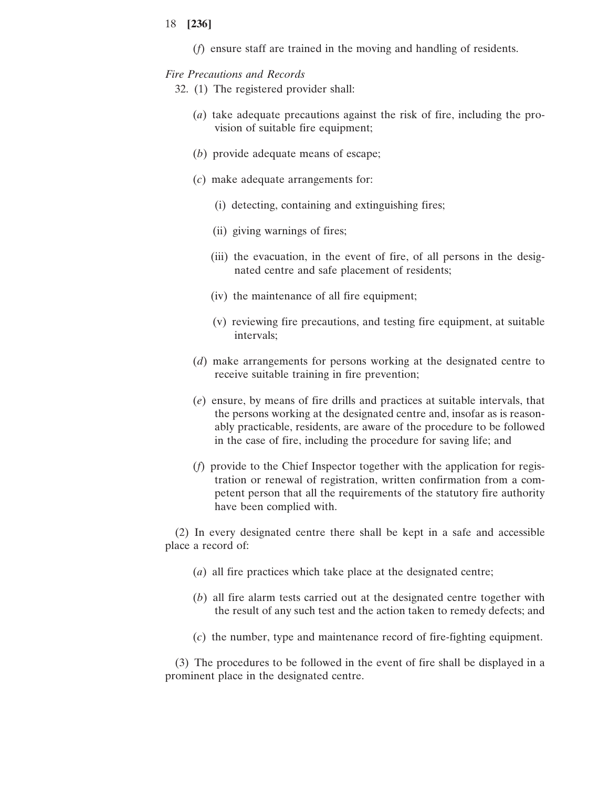(*f*) ensure staff are trained in the moving and handling of residents.

### *Fire Precautions and Records*

- 32. (1) The registered provider shall:
	- (*a*) take adequate precautions against the risk of fire, including the provision of suitable fire equipment;
	- (*b*) provide adequate means of escape;
	- (*c*) make adequate arrangements for:
		- (i) detecting, containing and extinguishing fires;
		- (ii) giving warnings of fires;
		- (iii) the evacuation, in the event of fire, of all persons in the designated centre and safe placement of residents;
		- (iv) the maintenance of all fire equipment;
		- (v) reviewing fire precautions, and testing fire equipment, at suitable intervals;
	- (*d*) make arrangements for persons working at the designated centre to receive suitable training in fire prevention;
	- (*e*) ensure, by means of fire drills and practices at suitable intervals, that the persons working at the designated centre and, insofar as is reasonably practicable, residents, are aware of the procedure to be followed in the case of fire, including the procedure for saving life; and
	- (*f*) provide to the Chief Inspector together with the application for registration or renewal of registration, written confirmation from a competent person that all the requirements of the statutory fire authority have been complied with.

(2) In every designated centre there shall be kept in a safe and accessible place a record of:

- (*a*) all fire practices which take place at the designated centre;
- (*b*) all fire alarm tests carried out at the designated centre together with the result of any such test and the action taken to remedy defects; and
- (*c*) the number, type and maintenance record of fire-fighting equipment.

(3) The procedures to be followed in the event of fire shall be displayed in a prominent place in the designated centre.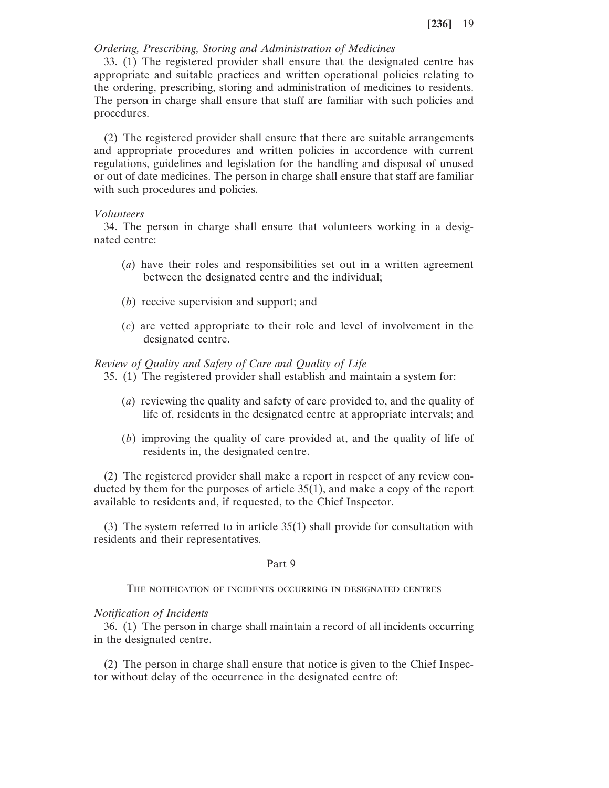### *Ordering, Prescribing, Storing and Administration of Medicines*

33. (1) The registered provider shall ensure that the designated centre has appropriate and suitable practices and written operational policies relating to the ordering, prescribing, storing and administration of medicines to residents. The person in charge shall ensure that staff are familiar with such policies and procedures.

(2) The registered provider shall ensure that there are suitable arrangements and appropriate procedures and written policies in accordence with current regulations, guidelines and legislation for the handling and disposal of unused or out of date medicines. The person in charge shall ensure that staff are familiar with such procedures and policies.

### *Volunteers*

34. The person in charge shall ensure that volunteers working in a designated centre:

- (*a*) have their roles and responsibilities set out in a written agreement between the designated centre and the individual;
- (*b*) receive supervision and support; and
- (*c*) are vetted appropriate to their role and level of involvement in the designated centre.

### *Review of Quality and Safety of Care and Quality of Life*

- 35. (1) The registered provider shall establish and maintain a system for:
	- (*a*) reviewing the quality and safety of care provided to, and the quality of life of, residents in the designated centre at appropriate intervals; and
	- (*b*) improving the quality of care provided at, and the quality of life of residents in, the designated centre.

(2) The registered provider shall make a report in respect of any review conducted by them for the purposes of article 35(1), and make a copy of the report available to residents and, if requested, to the Chief Inspector.

(3) The system referred to in article 35(1) shall provide for consultation with residents and their representatives.

#### Part 9

The notification of incidents occurring in designated centres

#### *Notification of Incidents*

36. (1) The person in charge shall maintain a record of all incidents occurring in the designated centre.

(2) The person in charge shall ensure that notice is given to the Chief Inspector without delay of the occurrence in the designated centre of: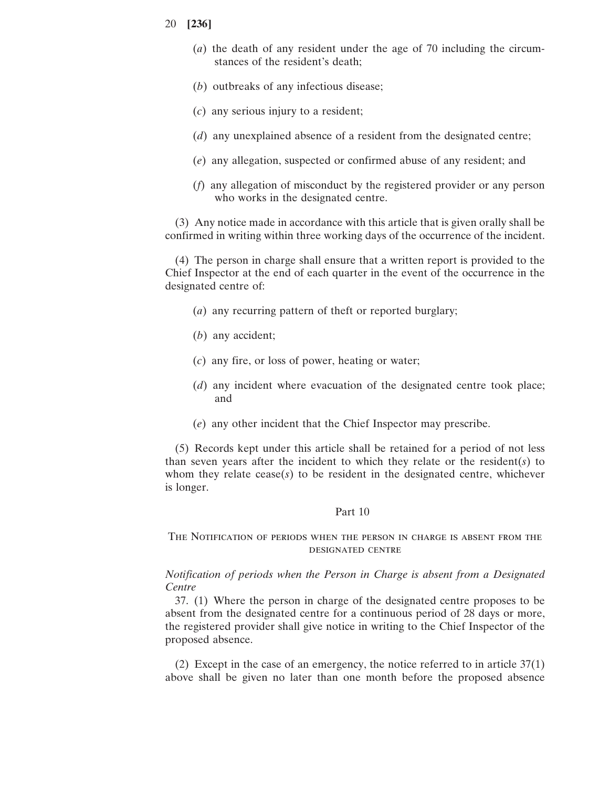- 20 **[236]**
	- (*a*) the death of any resident under the age of 70 including the circumstances of the resident's death;
	- (*b*) outbreaks of any infectious disease;
	- (*c*) any serious injury to a resident;
	- (*d*) any unexplained absence of a resident from the designated centre;
	- (*e*) any allegation, suspected or confirmed abuse of any resident; and
	- (*f*) any allegation of misconduct by the registered provider or any person who works in the designated centre.

(3) Any notice made in accordance with this article that is given orally shall be confirmed in writing within three working days of the occurrence of the incident.

(4) The person in charge shall ensure that a written report is provided to the Chief Inspector at the end of each quarter in the event of the occurrence in the designated centre of:

- (*a*) any recurring pattern of theft or reported burglary;
- (*b*) any accident;
- (*c*) any fire, or loss of power, heating or water;
- (*d*) any incident where evacuation of the designated centre took place; and
- (*e*) any other incident that the Chief Inspector may prescribe.

(5) Records kept under this article shall be retained for a period of not less than seven years after the incident to which they relate or the resident( $s$ ) to whom they relate  $\text{cease}(s)$  to be resident in the designated centre, whichever is longer.

#### Part 10

# The Notification of periods when the person in charge is absent from the designated centre

*Notification of periods when the Person in Charge is absent from a Designated Centre*

37. (1) Where the person in charge of the designated centre proposes to be absent from the designated centre for a continuous period of 28 days or more, the registered provider shall give notice in writing to the Chief Inspector of the proposed absence.

(2) Except in the case of an emergency, the notice referred to in article 37(1) above shall be given no later than one month before the proposed absence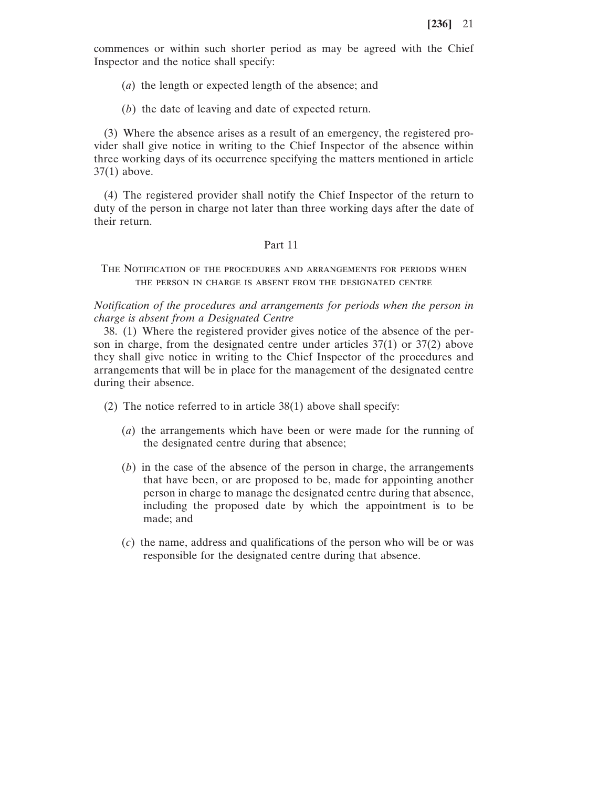commences or within such shorter period as may be agreed with the Chief Inspector and the notice shall specify:

(*a*) the length or expected length of the absence; and

(*b*) the date of leaving and date of expected return.

(3) Where the absence arises as a result of an emergency, the registered provider shall give notice in writing to the Chief Inspector of the absence within three working days of its occurrence specifying the matters mentioned in article 37(1) above.

(4) The registered provider shall notify the Chief Inspector of the return to duty of the person in charge not later than three working days after the date of their return.

### Part 11

The Notification of the procedures and arrangements for periods when the person in charge is absent from the designated centre

*Notification of the procedures and arrangements for periods when the person in charge is absent from a Designated Centre*

38. (1) Where the registered provider gives notice of the absence of the person in charge, from the designated centre under articles 37(1) or 37(2) above they shall give notice in writing to the Chief Inspector of the procedures and arrangements that will be in place for the management of the designated centre during their absence.

(2) The notice referred to in article 38(1) above shall specify:

- (*a*) the arrangements which have been or were made for the running of the designated centre during that absence;
- (*b*) in the case of the absence of the person in charge, the arrangements that have been, or are proposed to be, made for appointing another person in charge to manage the designated centre during that absence, including the proposed date by which the appointment is to be made; and
- (*c*) the name, address and qualifications of the person who will be or was responsible for the designated centre during that absence.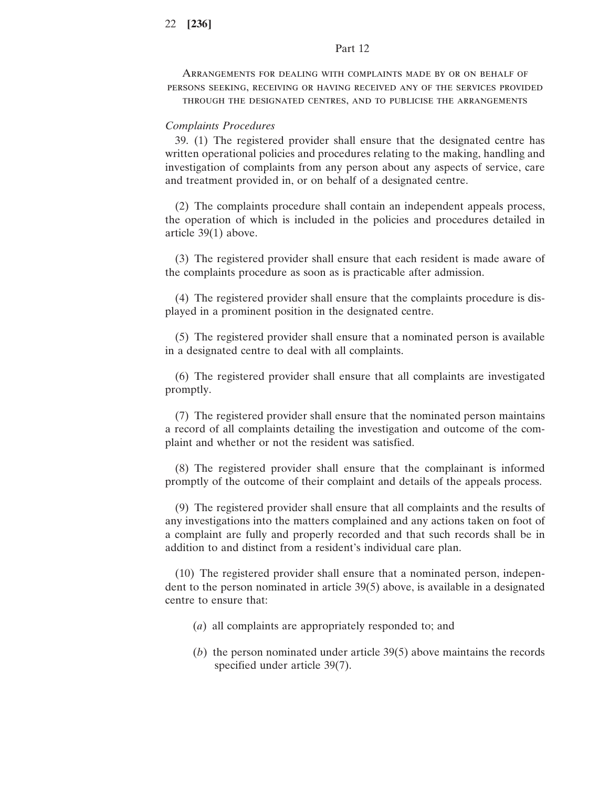Arrangements for dealing with complaints made by or on behalf of persons seeking, receiving or having received any of the services provided through the designated centres, and to publicise the arrangements

### *Complaints Procedures*

39. (1) The registered provider shall ensure that the designated centre has written operational policies and procedures relating to the making, handling and investigation of complaints from any person about any aspects of service, care and treatment provided in, or on behalf of a designated centre.

(2) The complaints procedure shall contain an independent appeals process, the operation of which is included in the policies and procedures detailed in article 39(1) above.

(3) The registered provider shall ensure that each resident is made aware of the complaints procedure as soon as is practicable after admission.

(4) The registered provider shall ensure that the complaints procedure is displayed in a prominent position in the designated centre.

(5) The registered provider shall ensure that a nominated person is available in a designated centre to deal with all complaints.

(6) The registered provider shall ensure that all complaints are investigated promptly.

(7) The registered provider shall ensure that the nominated person maintains a record of all complaints detailing the investigation and outcome of the complaint and whether or not the resident was satisfied.

(8) The registered provider shall ensure that the complainant is informed promptly of the outcome of their complaint and details of the appeals process.

(9) The registered provider shall ensure that all complaints and the results of any investigations into the matters complained and any actions taken on foot of a complaint are fully and properly recorded and that such records shall be in addition to and distinct from a resident's individual care plan.

(10) The registered provider shall ensure that a nominated person, independent to the person nominated in article 39(5) above, is available in a designated centre to ensure that:

- (*a*) all complaints are appropriately responded to; and
- (*b*) the person nominated under article 39(5) above maintains the records specified under article 39(7).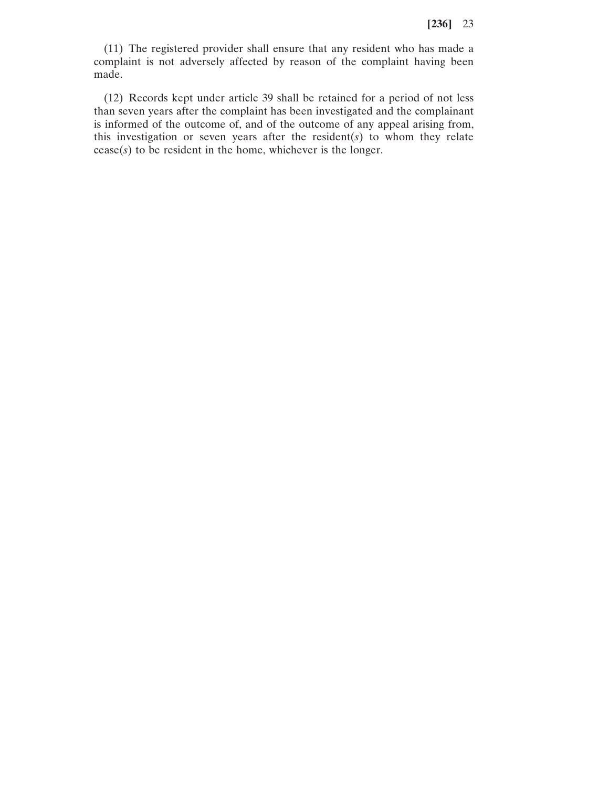(11) The registered provider shall ensure that any resident who has made a complaint is not adversely affected by reason of the complaint having been made.

(12) Records kept under article 39 shall be retained for a period of not less than seven years after the complaint has been investigated and the complainant is informed of the outcome of, and of the outcome of any appeal arising from, this investigation or seven years after the resident(*s*) to whom they relate cease(*s*) to be resident in the home, whichever is the longer.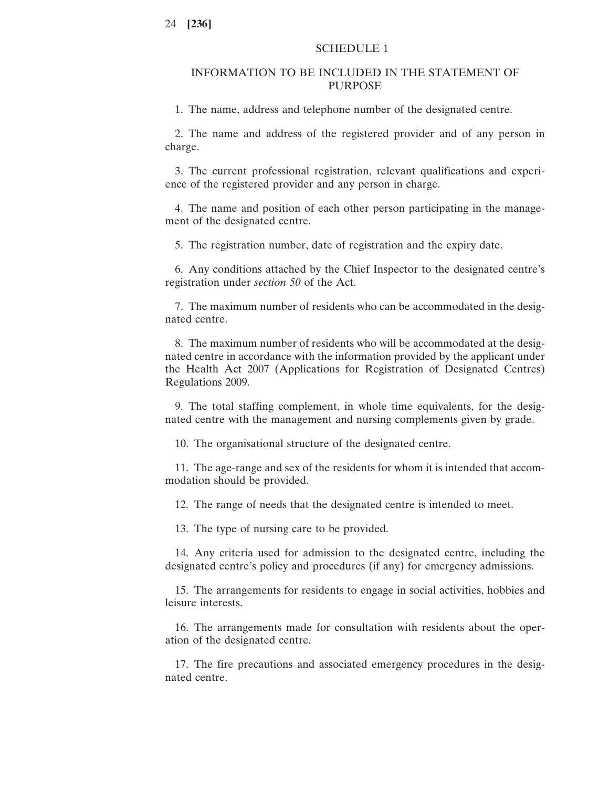# SCHEDULE 1

# INFORMATION TO BE INCLUDED IN THE STATEMENT OF PURPOSE

1. The name, address and telephone number of the designated centre.

2. The name and address of the registered provider and of any person in charge.

3. The current professional registration, relevant qualifications and experience of the registered provider and any person in charge.

4. The name and position of each other person participating in the management of the designated centre.

5. The registration number, date of registration and the expiry date.

6. Any conditions attached by the Chief Inspector to the designated centre's registration under *section 50* of the Act.

7. The maximum number of residents who can be accommodated in the designated centre.

8. The maximum number of residents who will be accommodated at the designated centre in accordance with the information provided by the applicant under the Health Act 2007 (Applications for Registration of Designated Centres) Regulations 2009.

9. The total staffing complement, in whole time equivalents, for the designated centre with the management and nursing complements given by grade.

10. The organisational structure of the designated centre.

11. The age-range and sex of the residents for whom it is intended that accommodation should be provided.

12. The range of needs that the designated centre is intended to meet.

13. The type of nursing care to be provided.

14. Any criteria used for admission to the designated centre, including the designated centre's policy and procedures (if any) for emergency admissions.

15. The arrangements for residents to engage in social activities, hobbies and leisure interests.

16. The arrangements made for consultation with residents about the operation of the designated centre.

17. The fire precautions and associated emergency procedures in the designated centre.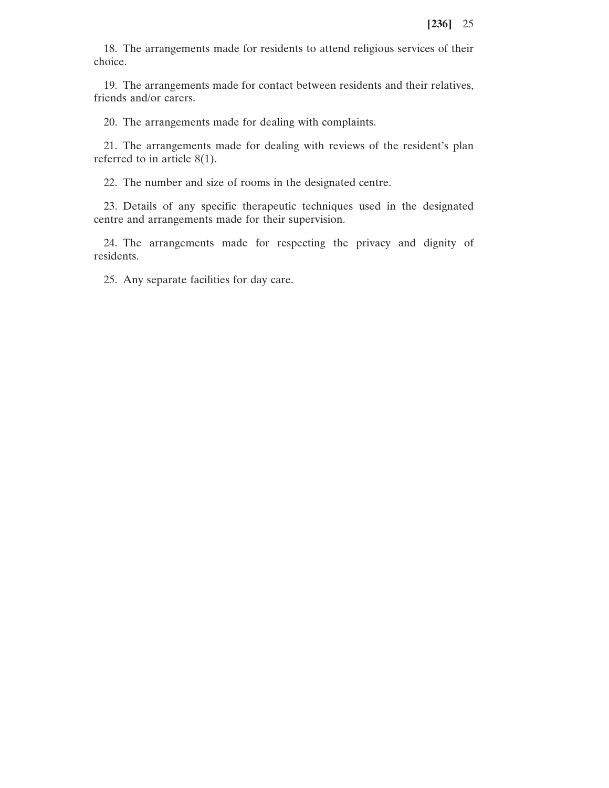18. The arrangements made for residents to attend religious services of their choice.

19. The arrangements made for contact between residents and their relatives, friends and/or carers.

20. The arrangements made for dealing with complaints.

21. The arrangements made for dealing with reviews of the resident's plan referred to in article 8(1).

22. The number and size of rooms in the designated centre.

23. Details of any specific therapeutic techniques used in the designated centre and arrangements made for their supervision.

24. The arrangements made for respecting the privacy and dignity of residents.

25. Any separate facilities for day care.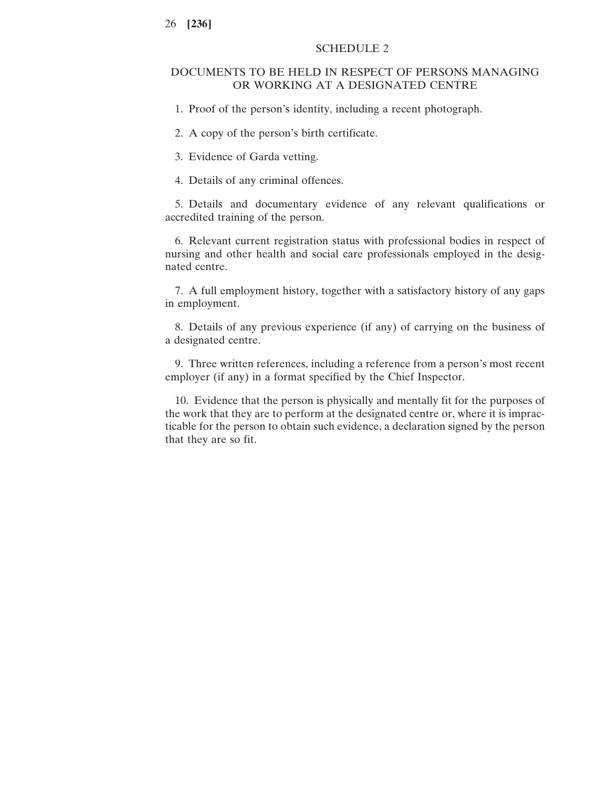# SCHEDULE 2

# DOCUMENTS TO BE HELD IN RESPECT OF PERSONS MANAGING OR WORKING AT A DESIGNATED CENTRE

1. Proof of the person's identity, including a recent photograph.

2. A copy of the person's birth certificate.

3. Evidence of Garda vetting.

4. Details of any criminal offences.

5. Details and documentary evidence of any relevant qualifications or accredited training of the person.

6. Relevant current registration status with professional bodies in respect of nursing and other health and social care professionals employed in the designated centre.

7. A full employment history, together with a satisfactory history of any gaps in employment.

8. Details of any previous experience (if any) of carrying on the business of a designated centre.

9. Three written references, including a reference from a person's most recent employer (if any) in a format specified by the Chief Inspector.

10. Evidence that the person is physically and mentally fit for the purposes of the work that they are to perform at the designated centre or, where it is impracticable for the person to obtain such evidence, a declaration signed by the person that they are so fit.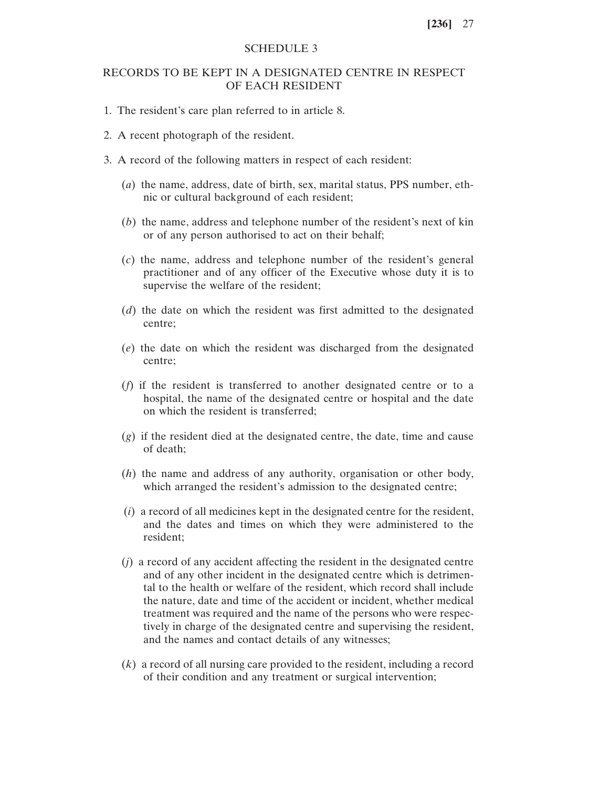# SCHEDULE 3

# RECORDS TO BE KEPT IN A DESIGNATED CENTRE IN RESPECT OF EACH RESIDENT

- 1. The resident's care plan referred to in article 8.
- 2. A recent photograph of the resident.
- 3. A record of the following matters in respect of each resident:
	- (*a*) the name, address, date of birth, sex, marital status, PPS number, ethnic or cultural background of each resident;
	- (*b*) the name, address and telephone number of the resident's next of kin or of any person authorised to act on their behalf;
	- (*c*) the name, address and telephone number of the resident's general practitioner and of any officer of the Executive whose duty it is to supervise the welfare of the resident;
	- (*d*) the date on which the resident was first admitted to the designated centre;
	- (*e*) the date on which the resident was discharged from the designated centre;
	- (*f*) if the resident is transferred to another designated centre or to a hospital, the name of the designated centre or hospital and the date on which the resident is transferred;
	- (*g*) if the resident died at the designated centre, the date, time and cause of death;
	- (*h*) the name and address of any authority, organisation or other body, which arranged the resident's admission to the designated centre;
	- (*i*) a record of all medicines kept in the designated centre for the resident, and the dates and times on which they were administered to the resident;
	- (*j*) a record of any accident affecting the resident in the designated centre and of any other incident in the designated centre which is detrimental to the health or welfare of the resident, which record shall include the nature, date and time of the accident or incident, whether medical treatment was required and the name of the persons who were respectively in charge of the designated centre and supervising the resident, and the names and contact details of any witnesses;
	- (*k*) a record of all nursing care provided to the resident, including a record of their condition and any treatment or surgical intervention;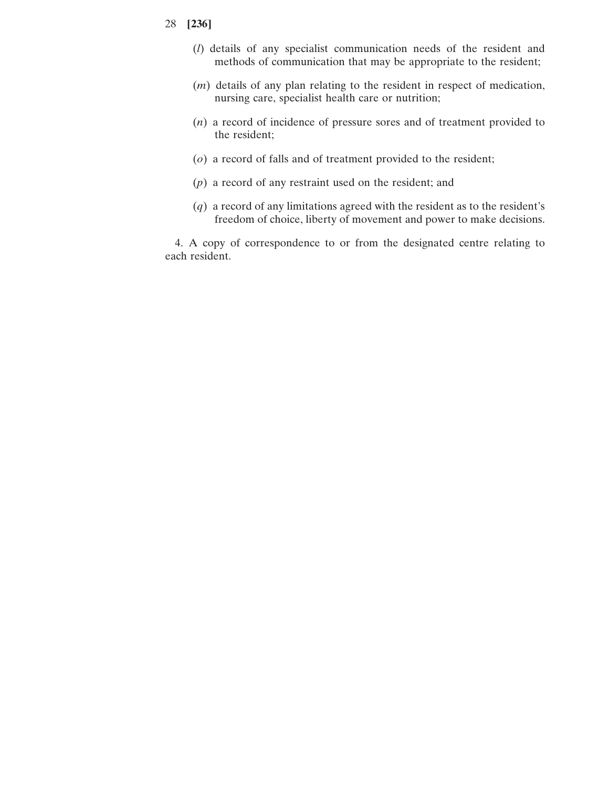- (*l*) details of any specialist communication needs of the resident and methods of communication that may be appropriate to the resident;
- (*m*) details of any plan relating to the resident in respect of medication, nursing care, specialist health care or nutrition;
- (*n*) a record of incidence of pressure sores and of treatment provided to the resident;
- (*o*) a record of falls and of treatment provided to the resident;
- (*p*) a record of any restraint used on the resident; and
- (*q*) a record of any limitations agreed with the resident as to the resident's freedom of choice, liberty of movement and power to make decisions.

4. A copy of correspondence to or from the designated centre relating to each resident.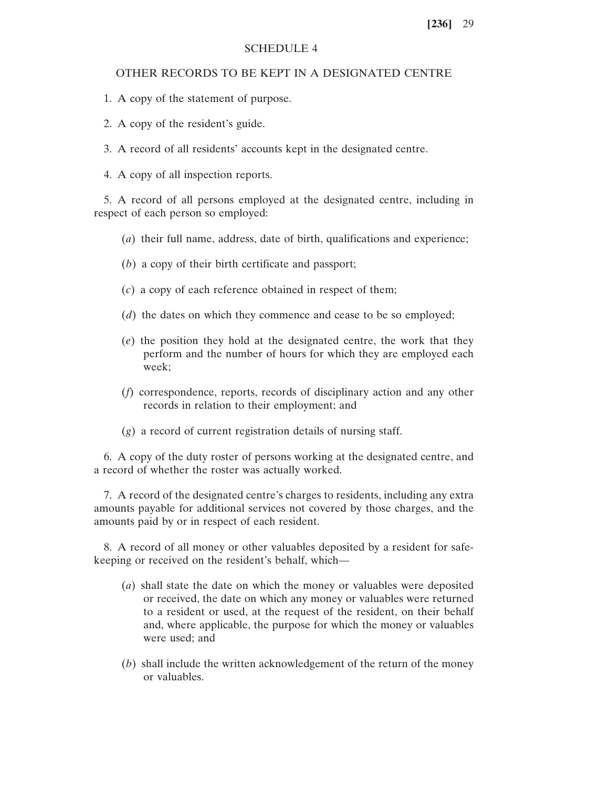### SCHEDULE 4

# OTHER RECORDS TO BE KEPT IN A DESIGNATED CENTRE

- 1. A copy of the statement of purpose.
- 2. A copy of the resident's guide.
- 3. A record of all residents' accounts kept in the designated centre.
- 4. A copy of all inspection reports.

5. A record of all persons employed at the designated centre, including in respect of each person so employed:

- (*a*) their full name, address, date of birth, qualifications and experience;
- (*b*) a copy of their birth certificate and passport;
- (*c*) a copy of each reference obtained in respect of them;
- (*d*) the dates on which they commence and cease to be so employed;
- (*e*) the position they hold at the designated centre, the work that they perform and the number of hours for which they are employed each week;
- (*f*) correspondence, reports, records of disciplinary action and any other records in relation to their employment; and
- (*g*) a record of current registration details of nursing staff.

6. A copy of the duty roster of persons working at the designated centre, and a record of whether the roster was actually worked.

7. A record of the designated centre's charges to residents, including any extra amounts payable for additional services not covered by those charges, and the amounts paid by or in respect of each resident.

8. A record of all money or other valuables deposited by a resident for safekeeping or received on the resident's behalf, which—

- (*a*) shall state the date on which the money or valuables were deposited or received, the date on which any money or valuables were returned to a resident or used, at the request of the resident, on their behalf and, where applicable, the purpose for which the money or valuables were used; and
- (*b*) shall include the written acknowledgement of the return of the money or valuables.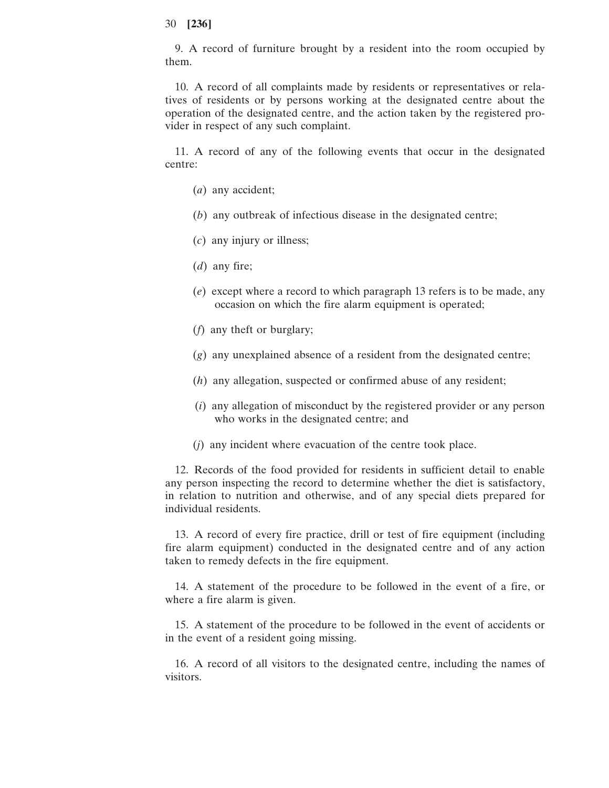9. A record of furniture brought by a resident into the room occupied by them.

10. A record of all complaints made by residents or representatives or relatives of residents or by persons working at the designated centre about the operation of the designated centre, and the action taken by the registered provider in respect of any such complaint.

11. A record of any of the following events that occur in the designated centre:

- (*a*) any accident;
- (*b*) any outbreak of infectious disease in the designated centre;
- (*c*) any injury or illness;
- (*d*) any fire;
- (*e*) except where a record to which paragraph 13 refers is to be made, any occasion on which the fire alarm equipment is operated;
- (*f*) any theft or burglary;
- (*g*) any unexplained absence of a resident from the designated centre;
- (*h*) any allegation, suspected or confirmed abuse of any resident;
- (*i*) any allegation of misconduct by the registered provider or any person who works in the designated centre; and
- (*j*) any incident where evacuation of the centre took place.

12. Records of the food provided for residents in sufficient detail to enable any person inspecting the record to determine whether the diet is satisfactory, in relation to nutrition and otherwise, and of any special diets prepared for individual residents.

13. A record of every fire practice, drill or test of fire equipment (including fire alarm equipment) conducted in the designated centre and of any action taken to remedy defects in the fire equipment.

14. A statement of the procedure to be followed in the event of a fire, or where a fire alarm is given.

15. A statement of the procedure to be followed in the event of accidents or in the event of a resident going missing.

16. A record of all visitors to the designated centre, including the names of visitors.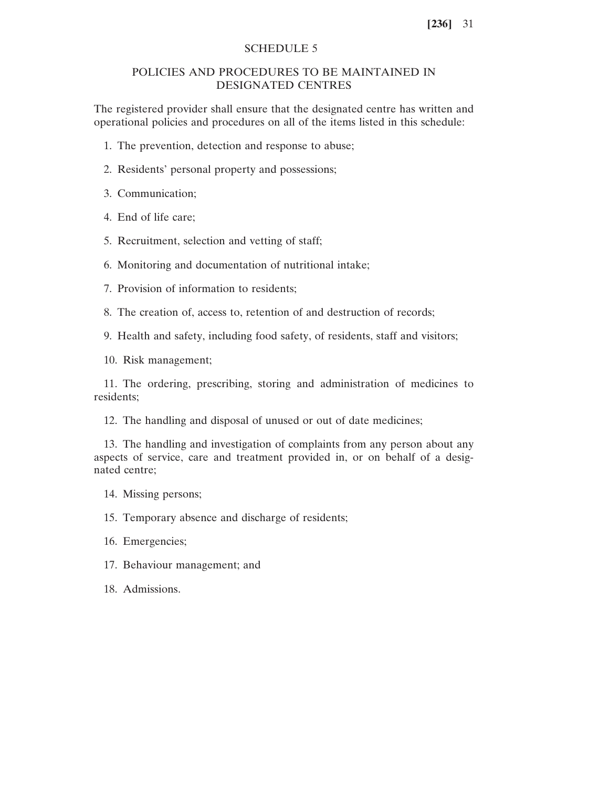# SCHEDULE 5

# POLICIES AND PROCEDURES TO BE MAINTAINED IN DESIGNATED CENTRES

The registered provider shall ensure that the designated centre has written and operational policies and procedures on all of the items listed in this schedule:

- 1. The prevention, detection and response to abuse;
- 2. Residents' personal property and possessions;

3. Communication;

- 4. End of life care;
- 5. Recruitment, selection and vetting of staff;
- 6. Monitoring and documentation of nutritional intake;
- 7. Provision of information to residents;
- 8. The creation of, access to, retention of and destruction of records;
- 9. Health and safety, including food safety, of residents, staff and visitors;

10. Risk management;

11. The ordering, prescribing, storing and administration of medicines to residents;

12. The handling and disposal of unused or out of date medicines;

13. The handling and investigation of complaints from any person about any aspects of service, care and treatment provided in, or on behalf of a designated centre;

- 14. Missing persons;
- 15. Temporary absence and discharge of residents;
- 16. Emergencies;
- 17. Behaviour management; and
- 18. Admissions.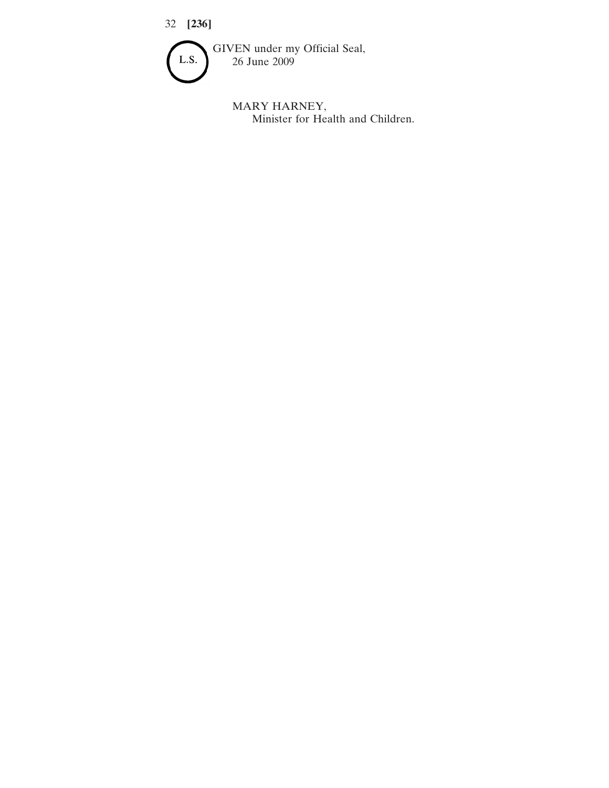

MARY HARNEY, Minister for Health and Children.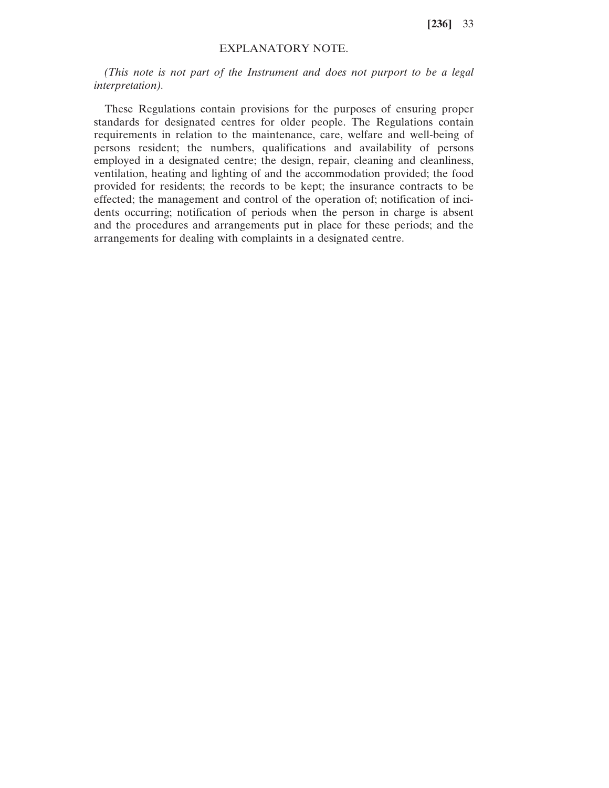# EXPLANATORY NOTE.

*(This note is not part of the Instrument and does not purport to be a legal interpretation).*

These Regulations contain provisions for the purposes of ensuring proper standards for designated centres for older people. The Regulations contain requirements in relation to the maintenance, care, welfare and well-being of persons resident; the numbers, qualifications and availability of persons employed in a designated centre; the design, repair, cleaning and cleanliness, ventilation, heating and lighting of and the accommodation provided; the food provided for residents; the records to be kept; the insurance contracts to be effected; the management and control of the operation of; notification of incidents occurring; notification of periods when the person in charge is absent and the procedures and arrangements put in place for these periods; and the arrangements for dealing with complaints in a designated centre.